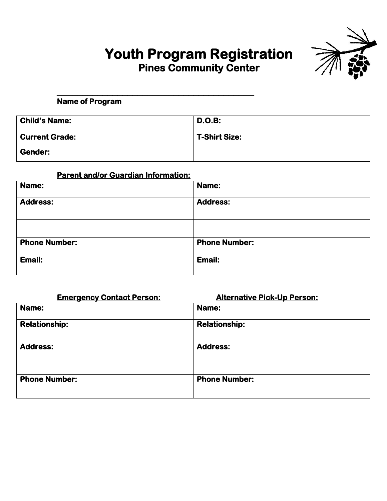# **Youth Program Registration Pines Community Center**



**\_\_\_\_\_\_\_\_\_\_\_\_\_\_\_\_\_\_\_\_\_\_\_\_\_\_\_\_\_\_\_\_\_\_\_\_\_\_\_ Name of Program** 

| <b>Child's Name:</b>  | <b>D.O.B:</b>        |
|-----------------------|----------------------|
| <b>Current Grade:</b> | <b>T-Shirt Size:</b> |
| <b>Gender:</b>        |                      |

### **Parent and/or Guardian Information:**

| Name:                | Name:                |
|----------------------|----------------------|
| <b>Address:</b>      | <b>Address:</b>      |
|                      |                      |
| <b>Phone Number:</b> | <b>Phone Number:</b> |
| Email:               | Email:               |

| <b>Emergency Contact Person:</b> | <b>Alternative Pick-Up Person:</b> |
|----------------------------------|------------------------------------|
| Name:                            | Name:                              |
| <b>Relationship:</b>             | <b>Relationship:</b>               |
| <b>Address:</b>                  | <b>Address:</b>                    |
|                                  |                                    |
| <b>Phone Number:</b>             | <b>Phone Number:</b>               |